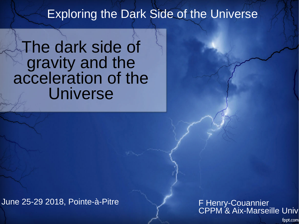#### Exploring the Dark Side of the Universe

#### The dark side of gravity and the acceleration of the Universe

June 25-29 2018, Pointe-à-Pitre

#### F Henry-Couannier CPPM & Aix-Marseille Univ

fppt.com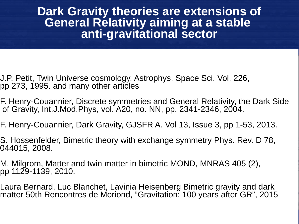**Dark Gravity theories are extensions of General Relativity aiming at a stable anti-gravitational sector**

- J.P. Petit, Twin Universe cosmology, Astrophys. Space Sci. Vol. 226, pp 273, 1995. and many other articles
- F. Henry-Couannier, Discrete symmetries and General Relativity, the Dark Side of Gravity, Int.J.Mod.Phys, vol. A20, no. NN, pp. 2341-2346, 2004.
- F. Henry-Couannier, Dark Gravity, GJSFR A. Vol 13, Issue 3, pp 1-53, 2013.
- S. Hossenfelder, Bimetric theory with exchange symmetry Phys. Rev. D 78, 044015, 2008.
- M. Milgrom, Matter and twin matter in bimetric MOND, MNRAS 405 (2), pp 1129-1139, 2010.
- Laura Bernard, Luc Blanchet, Lavinia Heisenberg Bimetric gravity and dark matter 50th Rencontres de Moriond, "Gravitation: 100 years after GR", 2015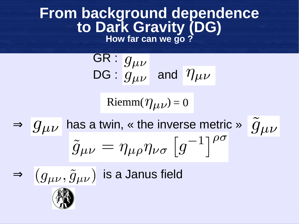#### **From background dependence to Dark Gravity (DG)**

**How far can we go ?**

$$
\frac{\text{GR}: g_{\mu\nu}}{\text{DG}: g_{\mu\nu} \text{ and } \eta_{\mu\nu}}
$$

Riemm $(\eta_{\mu\nu})=0$ 

 $\Rightarrow$   $g_{\mu\nu}$  has a twin, « the inverse metric »  $\tilde{g}_{\mu\nu}$  $\tilde{g}_{\mu\nu} = \eta_{\mu\rho}\eta_{\nu\sigma} \left[ g^{-1} \right]^{\rho\sigma}$ 



 $\Rightarrow$   $(g_{\mu\nu}, \tilde{g}_{\mu\nu})$  is a Janus field

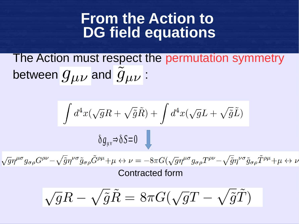#### **From the Action to DG field equations**

The Action must respect the permutation symmetry between  $g_{\mu\nu}$  and  $g_{\mu\nu}$  :

$$
\int d^4x (\sqrt{g}R + \sqrt{\tilde{g}}\tilde{R}) + \int d^4x (\sqrt{g}L + \sqrt{\tilde{g}}\tilde{L})
$$

$$
\delta g_{\mu\nu} \Rightarrow \delta S = 0
$$

 $\sqrt{g}\eta^{\mu\sigma}g_{\sigma\rho}G^{\rho\nu}-\sqrt{\tilde{g}}\eta^{\nu\sigma}\tilde{g}_{\sigma\rho}\tilde{G}^{\rho\mu}+\mu\leftrightarrow\nu=-8\pi G(\sqrt{g}\eta^{\mu\sigma}g_{\sigma\rho}T^{\rho\nu}-\sqrt{\tilde{g}}\eta^{\nu\sigma}\tilde{g}_{\sigma\rho}\tilde{T}^{\rho\mu}+\mu\leftrightarrow\nu$ Contracted form

$$
\sqrt{g}R - \sqrt{\tilde{g}}\tilde{R} = 8\pi G(\sqrt{g}T - \sqrt{\tilde{g}}\tilde{T})
$$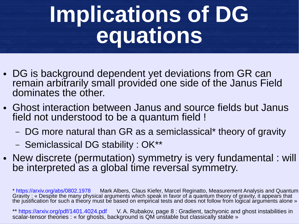## **Implications of DG equations**

- DG is background dependent yet deviations from GR can remain arbitrarily small provided one side of the Janus Field dominates the other.
- Ghost interaction between Janus and source fields but Janus field not understood to be a quantum field !
	- DG more natural than GR as a semiclassical\* theory of gravity
	- Semiclassical DG stability : OK\*\*
- New discrete (permutation) symmetry is very fundamental : will be interpreted as a global time reversal symmetry.

\* <https://arxiv.org/abs/0802.1978>Mark Albers, Claus Kiefer, Marcel Reginatto, Measurement Analysis and Quantum Gravity : « Despite the many physical arguments which speak in favor of a quantum theory of gravity, it appears that the justification for such a theory must be based on empirical tests and does not follow from logical arguments alone »

\*\* <https://arxiv.org/pdf/1401.4024.pdf> V. A. Rubakov, page 8 : Gradient, tachyonic and ghost instabilities in scalar-tensor theories : « for ghosts, background is QM unstable but classically stable »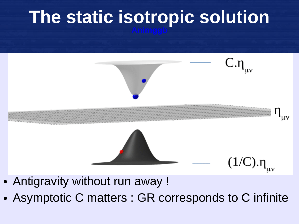# **The static isotropic solution**



- Antigravity without run away !
- Asymptotic C matters : GR corresponds to C infinite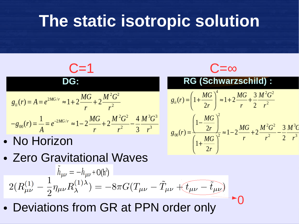#### **The static isotropic solution**

C=1  
\nDG:  
\n
$$
g_{ii}(r) = A = e^{2MG/r} \approx 1 + 2 \frac{MG}{r} + 2 \frac{M^2 G^2}{r^2}
$$
  
\n $-g_{00}(r) = \frac{1}{A} = e^{-2MG/r} \approx 1 - 2 \frac{MG}{r} + 2 \frac{M^2 G^2}{r^2} - \frac{4}{3} \frac{M^3 G^3}{r^3}$   
\n• NO Horizon  
\n2ETO Gravitational Waves  
\n $\hat{h}_{\mu\nu} = -h_{\mu\nu} + O(h^2)$   
\n $\hat{h}_{ii} = (1 + \frac{M G}{2r})^2$   
\n $\hat{h}_{ii} = (1 + \frac{M G}{2r})^2$   
\n $\hat{h}_{ii} = (1 + \frac{M G}{2r})^2$   
\n $\hat{h}_{ii} = (1 + \frac{M G}{2r})^2$   
\n $\hat{h}_{ii} = (1 + \frac{M G}{2r})^2$   
\n $\hat{h}_{ii} = (1 + \frac{M G}{2r})^2$   
\n $\hat{h}_{ii} = (1 + \frac{M G}{2r})^2$ 

0

$$
2(R_{\mu\nu}^{(1)} - \frac{1}{2}\eta_{\mu\nu}R_{\lambda}^{(1)\lambda}) = -8\pi G(T_{\mu\nu} - \tilde{T}_{\mu\nu} + t_{\mu\nu} - \tilde{t}_{\mu\nu})
$$

• Deviations from GR at PPN order only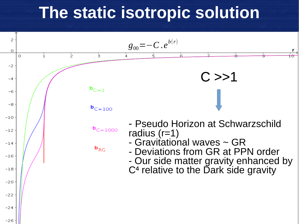#### **The static isotropic solution**

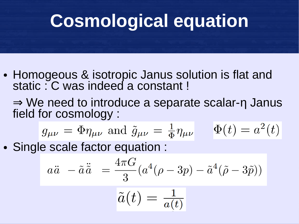#### **Cosmological equation**

- Homogeous & isotropic Janus solution is flat and static : C was indeed a constant !
	- ⇒ We need to introduce a separate scalar-η Janus field for cosmology :

$$
g_{\mu\nu} = \Phi \eta_{\mu\nu}
$$
 and  $\tilde{g}_{\mu\nu} = \frac{1}{\Phi} \eta_{\mu\nu}$   $\Phi(t) = a^2(t)$ 

• Single scale factor equation :

$$
a\ddot{a} - \tilde{a}\ddot{\tilde{a}} = \frac{4\pi G}{3}(a^4(\rho - 3p) - \tilde{a}^4(\tilde{\rho} - 3\tilde{p}))
$$

$$
\tilde{a}(t)=\tfrac{1}{a(t)}
$$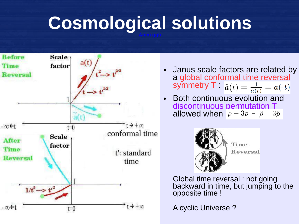#### **Cosmological solutions**



- **Janus scale factors are related by** a global conformal time reversal symmetry  $\mathsf{T}$  :  $\tilde{a}(t) = \frac{1}{a(t)} = a(-t)$
- Both continuous evolution and discontinuous permutation T allowed when  $\rho - 3p = \tilde{\rho} - 3\tilde{p}$



Global time reversal : not going backward in time, but jumping to the opposite time !

A cyclic Universe ?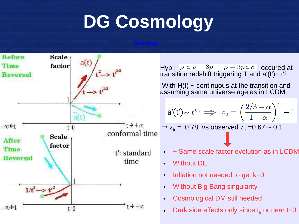#### **DG Cosmology**



Hyp :  $\rho \simeq \rho - 3p = \tilde{\rho} - 3\tilde{p} \simeq \tilde{\rho}$  occured at transition redshift triggering  $\bar{T}$  and a'(t') ~ t<sup>'2</sup>

With  $H(t)$  ~ continuous at the transition and assuming same universe age as in LCDM:

$$
a'(t') \sim t'^{\alpha} \implies z_{tr} = \left(\frac{2/3 - \alpha}{1 - \alpha}\right)^{\alpha} - 1
$$

 $\Rightarrow$  z<sub>tr</sub> = 0.78 vs observed z<sub>tr</sub> =0.67+- 0.1

- $\sim$  Same scale factor evolution as in LCDM
- **Without DE**
- Inflation not needed to get  $k=0$
- Without Big Bang singularity
- Cosmological DM still needed
- Dark side effects only since  $t_{tr}$  or near t=0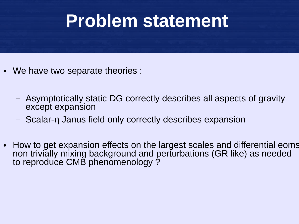# **Problem statement**

- We have two separate theories :
	- Asymptotically static DG correctly describes all aspects of gravity except expansion
	- Scalar-η Janus field only correctly describes expansion
- How to get expansion effects on the largest scales and differential eoms non trivially mixing background and perturbations (GR like) as needed to reproduce CMB phenomenology ?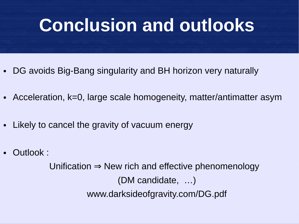#### **Conclusion and outlooks**

- DG avoids Big-Bang singularity and BH horizon very naturally
- Acceleration, k=0, large scale homogeneity, matter/antimatter asym
- Likely to cancel the gravity of vacuum energy
- Outlook:

Unification  $\Rightarrow$  New rich and effective phenomenology (DM candidate, …) www.darksideofgravity.com/DG.pdf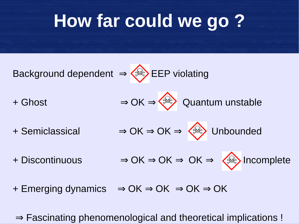#### **How far could we go ?**



+ Emerging dynamics  $\Rightarrow$  OK  $\Rightarrow$  OK  $\Rightarrow$  OK  $\Rightarrow$  OK

⇒ Fascinating phenomenological and theoretical implications !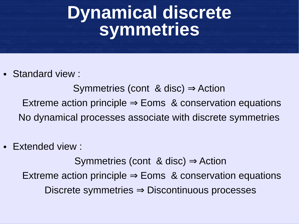#### **Dynamical discrete symmetries**

• Standard view :

Symmetries (cont & disc)  $\Rightarrow$  Action Extreme action principle  $\Rightarrow$  Eoms & conservation equations No dynamical processes associate with discrete symmetries

**Extended view:** 

Symmetries (cont & disc)  $\Rightarrow$  Action Extreme action principle  $\Rightarrow$  Eoms & conservation equations Discrete symmetries ⇒ Discontinuous processes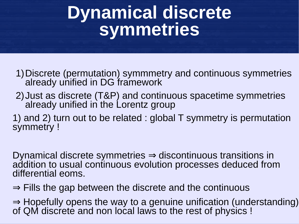#### **Dynamical discrete symmetries**

- 1)Discrete (permutation) symmmetry and continuous symmetries already unified in DG framework
- 2)Just as discrete (T&P) and continuous spacetime symmetries already unified in the Lorentz group
- 1) and 2) turn out to be related : global T symmetry is permutation symmetry !

Dynamical discrete symmetries ⇒ discontinuous transitions in addition to usual continuous evolution processes deduced from differential eoms.

- ⇒ Fills the gap between the discrete and the continuous
- ⇒ Hopefully opens the way to a genuine unification (understanding) of QM discrete and non local laws to the rest of physics !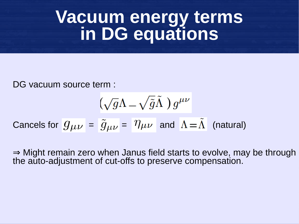#### **Vacuum energy terms in DG equations**

DG vacuum source term :

$$
\bigl(\sqrt{g}\Lambda-\sqrt{\tilde{g}}\tilde{\Lambda}\,\,\bigr)\,g^{\mu\nu}
$$

Cancels for 
$$
g_{\mu\nu} = \tilde{g}_{\mu\nu} = \eta_{\mu\nu}
$$
 and  $\Lambda = \tilde{\Lambda}$  (natural)

⇒ Might remain zero when Janus field starts to evolve, may be through the auto-adjustment of cut-offs to preserve compensation.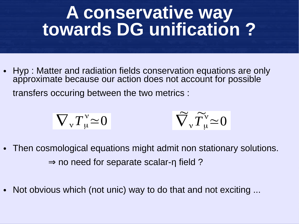#### **A conservative way towards DG unification ?**

• Hyp : Matter and radiation fields conservation equations are only approximate because our action does not account for possible transfers occuring between the two metrics :

$$
\nabla_{\mathbf{v}} T_{\mathbf{u}}^{\mathbf{v}} \simeq 0 \qquad \qquad \widetilde{\nabla}_{\mathbf{v}} \widetilde{T}_{\mathbf{u}}^{\mathbf{v}} \simeq 0
$$

- Then cosmological equations might admit non stationary solutions.  $\Rightarrow$  no need for separate scalar-η field ?
- Not obvious which (not unic) way to do that and not exciting ...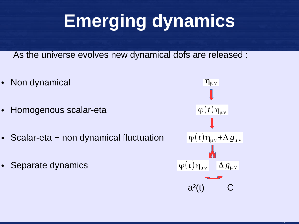## **Emerging dynamics**

As the universe evolves new dynamical dofs are released :

- Non dynamical
- Homogenous scalar-eta
- $\cdot$  Scalar-eta + non dynamical fluctuation
- Separate dynamics

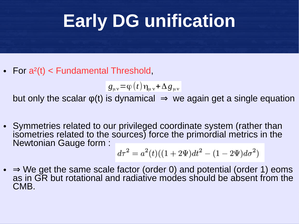## **Early DG unification**

• For  $a^2(t)$  < Fundamental Threshold,

 $g_{\mu\nu}$ =φ(*t*)η<sub>μ ν</sub>+Δ $g_{\mu\nu}$ 

but only the scalar  $\varphi(t)$  is dynamical  $\Rightarrow$  we again get a single equation

• Symmetries related to our privileged coordinate system (rather than isometries related to the sources) force the primordial metrics in the Newtonian Gauge form :

$$
d\tau^2 = a^2(t)((1+2\Psi)dt^2 - (1-2\Psi)d\sigma^2)
$$

 $\bullet \Rightarrow$  We get the same scale factor (order 0) and potential (order 1) eoms as in GR but rotational and radiative modes should be absent from the CMB.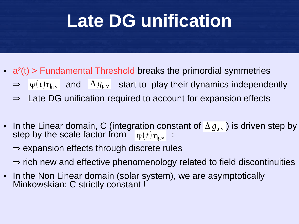#### **Late DG unification**

- $\bullet$  a<sup>2</sup>(t) > Fundamental Threshold breaks the primordial symmetries
	- $\Rightarrow$   $\varphi(t)\eta_{\mu\nu}$  and  $\Delta g_{\mu\nu}$  start to play their dynamics independently
	- ⇒ Late DG unification required to account for expansion effects
- In the Linear domain, C (integration constant of  $\Delta g_{\mu\nu}$  ) is driven step by step by the scale factor from  $\int \phi(t) \eta_{\mu\nu}$  :
	- ⇒ expansion effects through discrete rules
	- ⇒ rich new and effective phenomenology related to field discontinuities
- In the Non Linear domain (solar system), we are asymptotically Minkowskian: C strictly constant !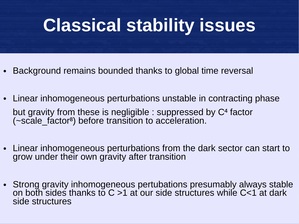#### **Classical stability issues**

- Background remains bounded thanks to global time reversal
- Linear inhomogeneous perturbations unstable in contracting phase but gravity from these is negligible : suppressed by C<sup>4</sup> factor (~scale\_factor⁸) before transition to acceleration.
- Linear inhomogeneous perturbations from the dark sector can start to grow under their own gravity after transition
- Strong gravity inhomogeneous pertubations presumably always stable on both sides thanks to  $C > 1$  at our side structures while  $C < 1$  at dark side structures